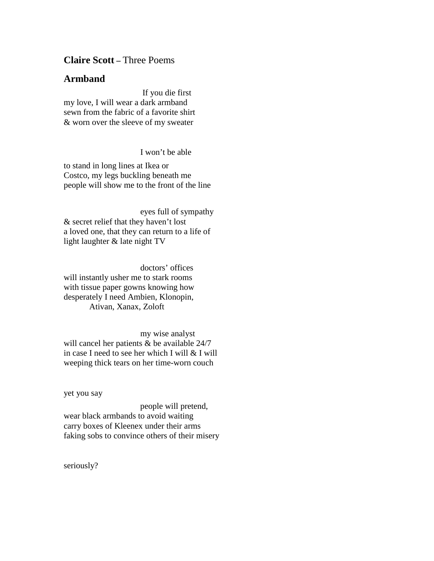## **Claire Scott –** Three Poems

## **Armband**

 If you die first my love, I will wear a dark armband sewn from the fabric of a favorite shirt & worn over the sleeve of my sweater

I won't be able

to stand in long lines at Ikea or Costco, my legs buckling beneath me people will show me to the front of the line

 eyes full of sympathy & secret relief that they haven't lost a loved one, that they can return to a life of light laughter & late night TV

 doctors' offices will instantly usher me to stark rooms with tissue paper gowns knowing how desperately I need Ambien, Klonopin, Ativan, Xanax, Zoloft

 my wise analyst will cancel her patients & be available 24/7 in case I need to see her which I will & I will weeping thick tears on her time-worn couch

yet you say

 people will pretend, wear black armbands to avoid waiting carry boxes of Kleenex under their arms faking sobs to convince others of their misery

seriously?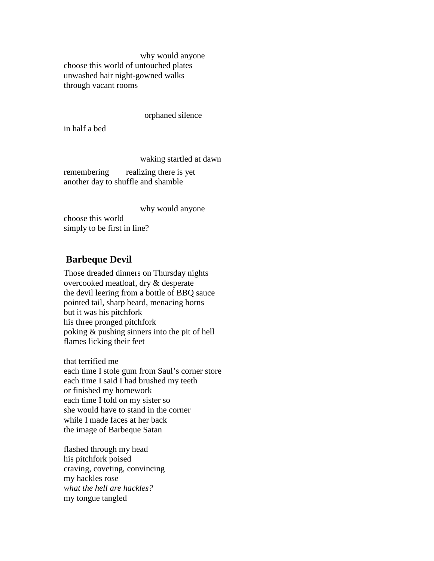why would anyone choose this world of untouched plates unwashed hair night-gowned walks through vacant rooms

#### orphaned silence

in half a bed

waking startled at dawn

remembering realizing there is yet another day to shuffle and shamble

 why would anyone choose this world simply to be first in line?

## **Barbeque Devil**

Those dreaded dinners on Thursday nights overcooked meatloaf, dry & desperate the devil leering from a bottle of BBQ sauce pointed tail, sharp beard, menacing horns but it was his pitchfork his three pronged pitchfork poking & pushing sinners into the pit of hell flames licking their feet

that terrified me each time I stole gum from Saul's corner store each time I said I had brushed my teeth or finished my homework each time I told on my sister so she would have to stand in the corner while I made faces at her back the image of Barbeque Satan

flashed through my head his pitchfork poised craving, coveting, convincing my hackles rose *what the hell are hackles?* my tongue tangled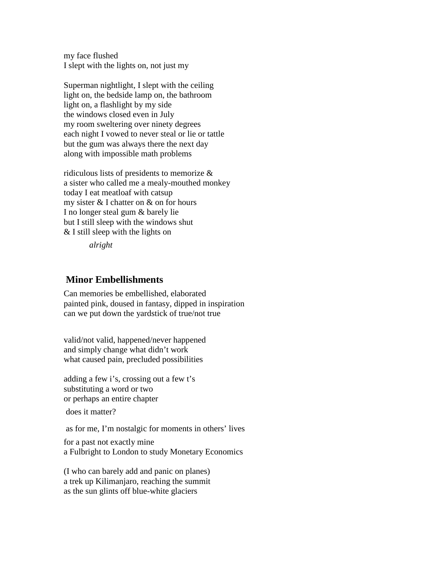my face flushed I slept with the lights on, not just my

Superman nightlight, I slept with the ceiling light on, the bedside lamp on, the bathroom light on, a flashlight by my side the windows closed even in July my room sweltering over ninety degrees each night I vowed to never steal or lie or tattle but the gum was always there the next day along with impossible math problems

ridiculous lists of presidents to memorize & a sister who called me a mealy-mouthed monkey today I eat meatloaf with catsup my sister & I chatter on & on for hours I no longer steal gum & barely lie but I still sleep with the windows shut & I still sleep with the lights on

*alright*

# **Minor Embellishments**

Can memories be embellished, elaborated painted pink, doused in fantasy, dipped in inspiration can we put down the yardstick of true/not true

valid/not valid, happened/never happened and simply change what didn't work what caused pain, precluded possibilities

adding a few i's, crossing out a few t's substituting a word or two or perhaps an entire chapter

does it matter?

as for me, I'm nostalgic for moments in others' lives

for a past not exactly mine a Fulbright to London to study Monetary Economics

(I who can barely add and panic on planes) a trek up Kilimanjaro, reaching the summit as the sun glints off blue-white glaciers